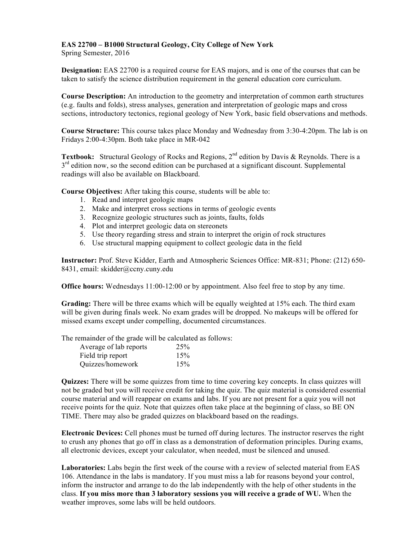## **EAS 22700 – B1000 Structural Geology, City College of New York**

Spring Semester, 2016

**Designation:** EAS 22700 is a required course for EAS majors, and is one of the courses that can be taken to satisfy the science distribution requirement in the general education core curriculum.

**Course Description:** An introduction to the geometry and interpretation of common earth structures (e.g. faults and folds), stress analyses, generation and interpretation of geologic maps and cross sections, introductory tectonics, regional geology of New York, basic field observations and methods.

**Course Structure:** This course takes place Monday and Wednesday from 3:30-4:20pm. The lab is on Fridays 2:00-4:30pm. Both take place in MR-042

**Textbook:** Structural Geology of Rocks and Regions, 2<sup>nd</sup> edition by Davis & Reynolds. There is a  $3<sup>rd</sup>$  edition now, so the second edition can be purchased at a significant discount. Supplemental readings will also be available on Blackboard.

**Course Objectives:** After taking this course, students will be able to:

- 1. Read and interpret geologic maps
- 2. Make and interpret cross sections in terms of geologic events
- 3. Recognize geologic structures such as joints, faults, folds
- 4. Plot and interpret geologic data on stereonets
- 5. Use theory regarding stress and strain to interpret the origin of rock structures
- 6. Use structural mapping equipment to collect geologic data in the field

**Instructor:** Prof. Steve Kidder, Earth and Atmospheric Sciences Office: MR-831; Phone: (212) 650- 8431, email: skidder@ccny.cuny.edu

**Office hours:** Wednesdays 11:00-12:00 or by appointment. Also feel free to stop by any time.

**Grading:** There will be three exams which will be equally weighted at 15% each. The third exam will be given during finals week. No exam grades will be dropped. No makeups will be offered for missed exams except under compelling, documented circumstances.

The remainder of the grade will be calculated as follows:

| Average of lab reports | 25% |
|------------------------|-----|
| Field trip report      | 15% |
| Quizzes/homework       | 15% |

**Quizzes:** There will be some quizzes from time to time covering key concepts. In class quizzes will not be graded but you will receive credit for taking the quiz. The quiz material is considered essential course material and will reappear on exams and labs. If you are not present for a quiz you will not receive points for the quiz. Note that quizzes often take place at the beginning of class, so BE ON TIME. There may also be graded quizzes on blackboard based on the readings.

**Electronic Devices:** Cell phones must be turned off during lectures. The instructor reserves the right to crush any phones that go off in class as a demonstration of deformation principles. During exams, all electronic devices, except your calculator, when needed, must be silenced and unused.

**Laboratories:** Labs begin the first week of the course with a review of selected material from EAS 106. Attendance in the labs is mandatory. If you must miss a lab for reasons beyond your control, inform the instructor and arrange to do the lab independently with the help of other students in the class. **If you miss more than 3 laboratory sessions you will receive a grade of WU.** When the weather improves, some labs will be held outdoors.